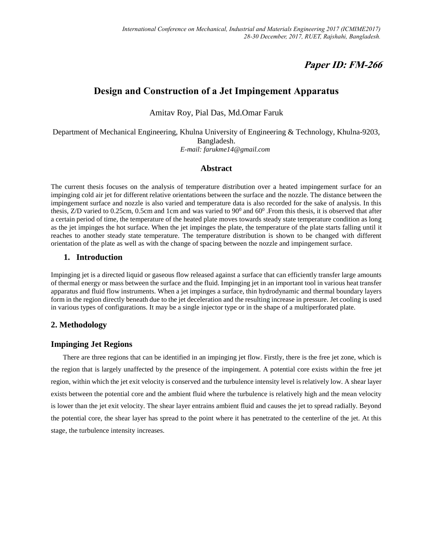# **Paper ID: FM-266**

# **Design and Construction of a Jet Impingement Apparatus**

Amitav Roy, Pial Das, Md.Omar Faruk

Department of Mechanical Engineering, Khulna University of Engineering & Technology, Khulna-9203, Bangladesh.  *E-mail: farukme14@gmail.com*

#### **Abstract**

The current thesis focuses on the analysis of temperature distribution over a heated impingement surface for an impinging cold air jet for different relative orientations between the surface and the nozzle. The distance between the impingement surface and nozzle is also varied and temperature data is also recorded for the sake of analysis. In this thesis, Z/D varied to 0.25cm, 0.5cm and 1cm and was varied to  $90^0$  and  $60^0$ . From this thesis, it is observed that after a certain period of time, the temperature of the heated plate moves towards steady state temperature condition as long as the jet impinges the hot surface. When the jet impinges the plate, the temperature of the plate starts falling until it reaches to another steady state temperature. The temperature distribution is shown to be changed with different orientation of the plate as well as with the change of spacing between the nozzle and impingement surface.

#### **1. Introduction**

Impinging jet is a directed liquid or gaseous flow released against a surface that can efficiently transfer large amounts of thermal energy or mass between the surface and the fluid. Impinging jet in an important tool in various heat transfer apparatus and fluid flow instruments. When a jet impinges a surface, thin hydrodynamic and thermal boundary layers form in the region directly beneath due to the jet deceleration and the resulting increase in pressure. Jet cooling is used in various types of configurations. It may be a single injector type or in the shape of a multiperforated plate.

## **2. Methodology**

## **Impinging Jet Regions**

There are three regions that can be identified in an impinging jet flow. Firstly, there is the free jet zone, which is the region that is largely unaffected by the presence of the impingement. A potential core exists within the free jet region, within which the jet exit velocity is conserved and the turbulence intensity level is relatively low. A shear layer exists between the potential core and the ambient fluid where the turbulence is relatively high and the mean velocity is lower than the jet exit velocity. The shear layer entrains ambient fluid and causes the jet to spread radially. Beyond the potential core, the shear layer has spread to the point where it has penetrated to the centerline of the jet. At this stage, the turbulence intensity increases.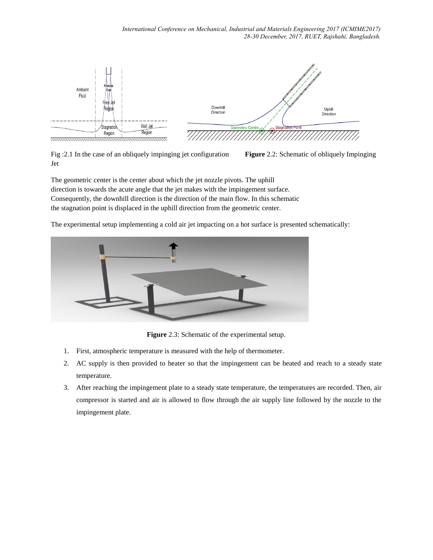*International Conference on Mechanical, Industrial and Materials Engineering 2017 (ICMIME2017) 28-30 December, 2017, RUET, Rajshahi, Bangladesh.*



Fig :2.1 In the case of an obliquely impinging jet configuration **Figure** 2.2: Schematic of obliquely Impinging Jet

The geometric center is the center about which the jet nozzle pivots. The uphill direction is towards the acute angle that the jet makes with the impingement surface. Consequently, the downhill direction is the direction of the main flow. In this schematic the stagnation point is displaced in the uphill direction from the geometric center.

The experimental setup implementing a cold air jet impacting on a hot surface is presented schematically:



**Figure** 2.3: Schematic of the experimental setup.

- 1. First, atmospheric temperature is measured with the help of thermometer.
- 2. AC supply is then provided to heater so that the impingement can be heated and reach to a steady state temperature.
- 3. After reaching the impingement plate to a steady state temperature, the temperatures are recorded. Then, air compressor is started and air is allowed to flow through the air supply line followed by the nozzle to the impingement plate.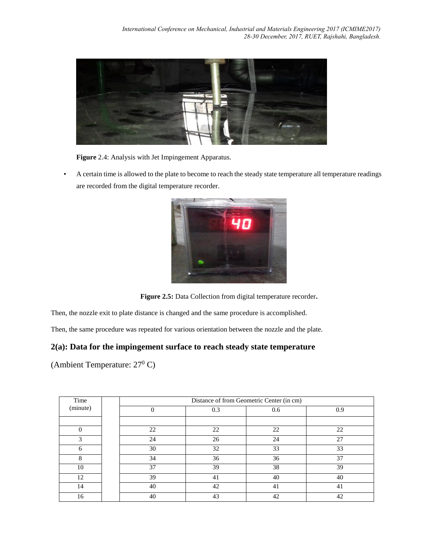

**Figure** 2.4: Analysis with Jet Impingement Apparatus.

• A certain time is allowed to the plate to become to reach the steady state temperature all temperature readings are recorded from the digital temperature recorder.



**Figure 2.5:** Data Collection from digital temperature recorder**.**

Then, the nozzle exit to plate distance is changed and the same procedure is accomplished.

Then, the same procedure was repeated for various orientation between the nozzle and the plate.

## **2(a): Data for the impingement surface to reach steady state temperature**

(Ambient Temperature:  $27^{\circ}$  C)

| Time<br>(minute) | Distance of from Geometric Center (in cm) |     |     |     |  |
|------------------|-------------------------------------------|-----|-----|-----|--|
|                  | $\theta$                                  | 0.3 | 0.6 | 0.9 |  |
|                  |                                           |     |     |     |  |
|                  | 22                                        | 22  | 22  | 22  |  |
| 3                | 24                                        | 26  | 24  | 27  |  |
| 6                | 30                                        | 32  | 33  | 33  |  |
| 8                | 34                                        | 36  | 36  | 37  |  |
| 10               | 37                                        | 39  | 38  | 39  |  |
| 12               | 39                                        | 41  | 40  | 40  |  |
| 14               | 40                                        | 42  | 41  | 41  |  |
| 16               | 40                                        | 43  | 42  | 42  |  |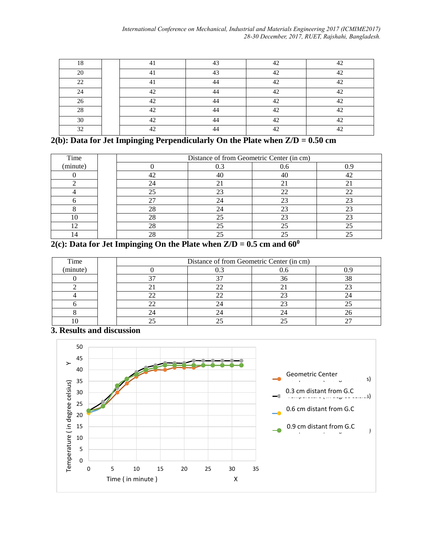| 1 <sub>O</sub> | 4.1              | $\Lambda$ <sup>2</sup> | $\Lambda$ | $\Lambda$      |
|----------------|------------------|------------------------|-----------|----------------|
| ററ             | $\overline{A}$   | $\overline{A}$         | $\Lambda$ | $\Lambda$      |
| $\mathcal{D}$  |                  | $\iota$                | $\Lambda$ | $\overline{A}$ |
| $\mathcal{L}$  | $\Lambda$        | $\overline{A}$         | $\Lambda$ | $\overline{A}$ |
| $\Omega$       | $\sim$           | $\overline{A}$         | $\Lambda$ |                |
| 28             | $\Lambda$        |                        | $\Lambda$ |                |
| 30             | $\Lambda$ $\cap$ | $\iota$<br>┱╼          | $\sim$    |                |
| 32             | $\Lambda$        | $\Lambda$              | $\Lambda$ | $\Lambda$      |

## **2(b): Data for Jet Impinging Perpendicularly On the Plate when Z/D = 0.50 cm**

| Time     | Distance of from Geometric Center (in cm) |     |     |    |  |
|----------|-------------------------------------------|-----|-----|----|--|
| (minute) |                                           | 0.3 | 0.6 |    |  |
|          | 42                                        | 40  | 40  |    |  |
|          |                                           |     |     |    |  |
|          |                                           |     |     | າາ |  |
|          |                                           | 24  |     |    |  |
|          | 28                                        | 24  |     |    |  |
| 10       | 28                                        | 25  |     | 23 |  |
| 12       |                                           | 25  |     |    |  |
|          |                                           |     |     |    |  |

# $2(c)$ : Data for Jet Impinging On the Plate when  $Z/D = 0.5$  cm and  $60^0$

| Time     | Distance of from Geometric Center (in cm) |  |  |  |
|----------|-------------------------------------------|--|--|--|
| (minute) |                                           |  |  |  |
|          |                                           |  |  |  |
|          |                                           |  |  |  |
|          |                                           |  |  |  |
|          |                                           |  |  |  |
|          |                                           |  |  |  |
|          |                                           |  |  |  |

## **3. Results and discussion**

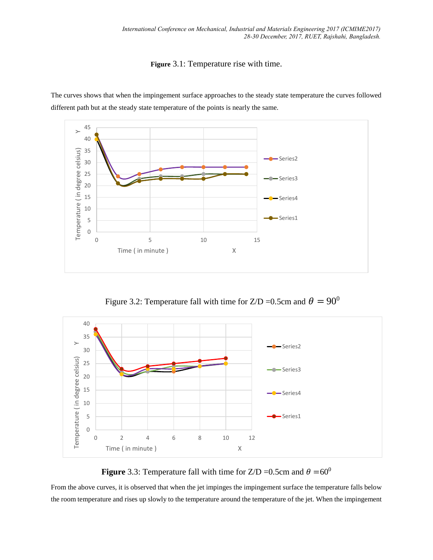**Figure** 3.1: Temperature rise with time.



The curves shows that when the impingement surface approaches to the steady state temperature the curves followed different path but at the steady state temperature of the points is nearly the same.

Figure 3.2: Temperature fall with time for Z/D = 0.5cm and  $\theta = 90^0$ 



**Figure** 3.3: Temperature fall with time for  $Z/D = 0.5$ cm and  $\theta = 60^{\circ}$ 

From the above curves, it is observed that when the jet impinges the impingement surface the temperature falls below the room temperature and rises up slowly to the temperature around the temperature of the jet. When the impingement